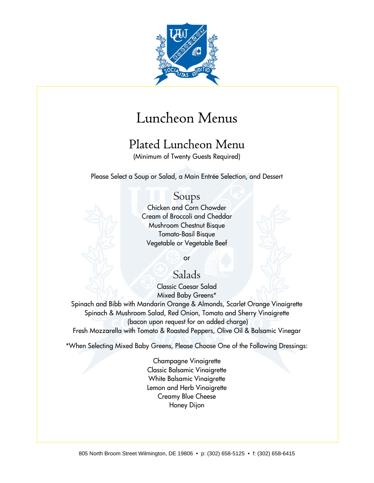

# Luncheon Menus

# Plated Luncheon Menu

(Minimum of Twenty Guests Required)

Please Select a Soup or Salad, a Main Entrée Selection, and Dessert

#### Soups

Chicken and Corn Chowder Cream of Broccoli and Cheddar Mushroom Chestnut Bisque Tomato-Basil Bisque Vegetable or Vegetable Beef

or

### Salads

Classic Caesar Salad Mixed Baby Greens\* Spinach and Bibb with Mandarin Orange & Almonds, Scarlet Orange Vinaigrette Spinach & Mushroom Salad, Red Onion, Tomato and Sherry Vinaigrette (bacon upon request for an added charge) Fresh Mozzarella with Tomato & Roasted Peppers, Olive Oil & Balsamic Vinegar

\*When Selecting Mixed Baby Greens, Please Choose One of the Following Dressings:

Champagne Vinaigrette Classic Balsamic Vinaigrette White Balsamic Vinaigrette Lemon and Herb Vinaigrette Creamy Blue Cheese Honey Dijon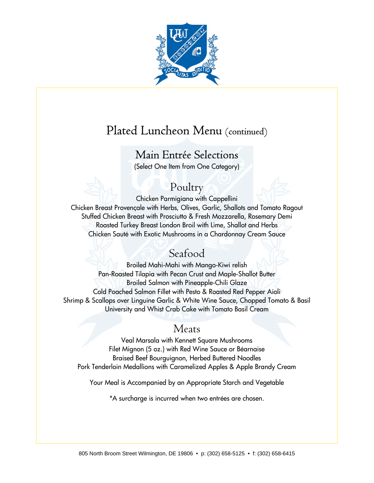

# Plated Luncheon Menu (continued)

## Main Entrée Selections

(Select One Item from One Category)

### Poultry

Chicken Parmigiana with Cappellini Chicken Breast Provençale with Herbs, Olives, Garlic, Shallots and Tomato Ragout Stuffed Chicken Breast with Prosciutto & Fresh Mozzarella, Rosemary Demi Roasted Turkey Breast London Broil with Lime, Shallot and Herbs Chicken Sauté with Exotic Mushrooms in a Chardonnay Cream Sauce

## Seafood

Broiled Mahi-Mahi with Mango-Kiwi relish Pan-Roasted Tilapia with Pecan Crust and Maple-Shallot Butter Broiled Salmon with Pineapple-Chili Glaze Cold Poached Salmon Fillet with Pesto & Roasted Red Pepper Aioli Shrimp & Scallops over Linguine Garlic & White Wine Sauce, Chopped Tomato & Basil University and Whist Crab Cake with Tomato Basil Cream

### Meats

Veal Marsala with Kennett Square Mushrooms Filet Mignon (5 oz.) with Red Wine Sauce or Béarnaise Braised Beef Bourguignon, Herbed Buttered Noodles Pork Tenderloin Medallions with Caramelized Apples & Apple Brandy Cream

Your Meal is Accompanied by an Appropriate Starch and Vegetable

\*A surcharge is incurred when two entrées are chosen.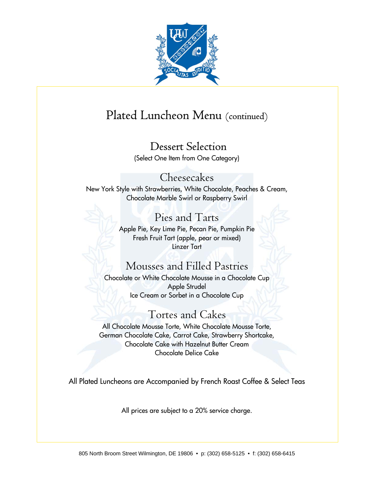

# Plated Luncheon Menu (continued)

## Dessert Selection

(Select One Item from One Category)

#### Cheesecakes

New York Style with Strawberries, White Chocolate, Peaches & Cream, Chocolate Marble Swirl or Raspberry Swirl

## Pies and Tarts

Apple Pie, Key Lime Pie, Pecan Pie, Pumpkin Pie Fresh Fruit Tart (apple, pear or mixed) Linzer Tart

## Mousses and Filled Pastries

Chocolate or White Chocolate Mousse in a Chocolate Cup Apple Strudel Ice Cream or Sorbet in a Chocolate Cup

## Tortes and Cakes

All Chocolate Mousse Torte, White Chocolate Mousse Torte, German Chocolate Cake, Carrot Cake, Strawberry Shortcake, Chocolate Cake with Hazelnut Butter Cream Chocolate Delice Cake

All Plated Luncheons are Accompanied by French Roast Coffee & Select Teas

All prices are subject to a 20% service charge.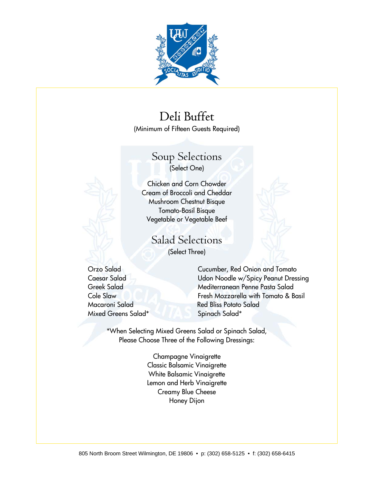

# Deli Buffet

(Minimum of Fifteen Guests Required)

# Soup Selections

(Select One)

Chicken and Corn Chowder Cream of Broccoli and Cheddar Mushroom Chestnut Bisque Tomato-Basil Bisque Vegetable or Vegetable Beef

Salad Selections (Select Three)

Mixed Greens Salad\* Spinach Salad\*

Orzo Salad Cucumber, Red Onion and Tomato Caesar Salad Udon Noodle w/Spicy Peanut Dressing Greek Salad Mediterranean Penne Pasta Salad Cole Slaw Fresh Mozzarella with Tomato & Basil Macaroni Salad Red Bliss Potato Salad

\*When Selecting Mixed Greens Salad or Spinach Salad, Please Choose Three of the Following Dressings:

> Champagne Vinaigrette Classic Balsamic Vinaigrette White Balsamic Vinaigrette Lemon and Herb Vinaigrette Creamy Blue Cheese Honey Dijon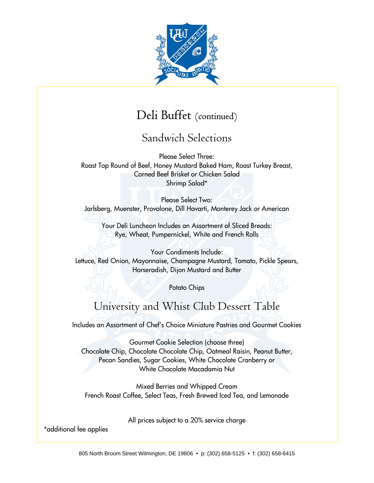

## Deli Buffet (continued)

Sandwich Selections

Please Select Three: Roast Top Round of Beef, Honey Mustard Baked Ham, Roast Turkey Breast, Corned Beef Brisket or Chicken Salad Shrimp Salad\*

Please Select Two: Jarlsberg, Muenster, Provolone, Dill Havarti, Monterey Jack or American

Your Deli Luncheon Includes an Assortment of Sliced Breads: Rye, Wheat, Pumpernickel, White and French Rolls

Your Condiments Include: Lettuce, Red Onion, Mayonnaise, Champagne Mustard, Tomato, Pickle Spears, Horseradish, Dijon Mustard and Butter

Potato Chips

## University and Whist Club Dessert Table

Includes an Assortment of Chef's Choice Miniature Pastries and Gourmet Cookies

Gourmet Cookie Selection (choose three) Chocolate Chip, Chocolate Chocolate Chip, Oatmeal Raisin, Peanut Butter, Pecan Sandies, Sugar Cookies, White Chocolate Cranberry or White Chocolate Macadamia Nut

Mixed Berries and Whipped Cream French Roast Coffee, Select Teas, Fresh Brewed Iced Tea, and Lemonade

All prices subject to a 20% service charge

\*additional fee applies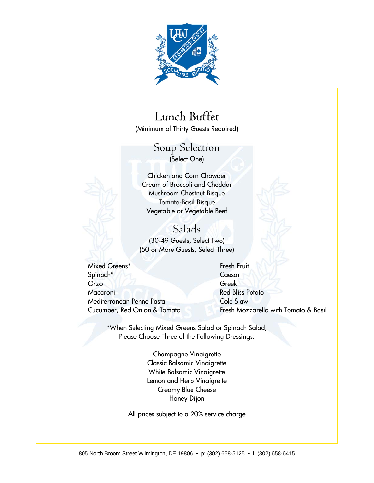

# Lunch Buffet

(Minimum of Thirty Guests Required)

#### Soup Selection (Select One)

Chicken and Corn Chowder Cream of Broccoli and Cheddar Mushroom Chestnut Bisque Tomato-Basil Bisque Vegetable or Vegetable Beef

#### Salads

(30-49 Guests, Select Two) (50 or More Guests, Select Three)

Mixed Greens\* Fresh Fruit Spinach\* Caesar Orzo Greek Macaroni Red Bliss Potato Mediterranean Penne Pasta Cole Slaw

Cucumber, Red Onion & Tomato Fresh Mozzarella with Tomato & Basil

\*When Selecting Mixed Greens Salad or Spinach Salad, Please Choose Three of the Following Dressings:

> Champagne Vinaigrette Classic Balsamic Vinaigrette White Balsamic Vinaigrette Lemon and Herb Vinaigrette Creamy Blue Cheese Honey Dijon

All prices subject to a 20% service charge